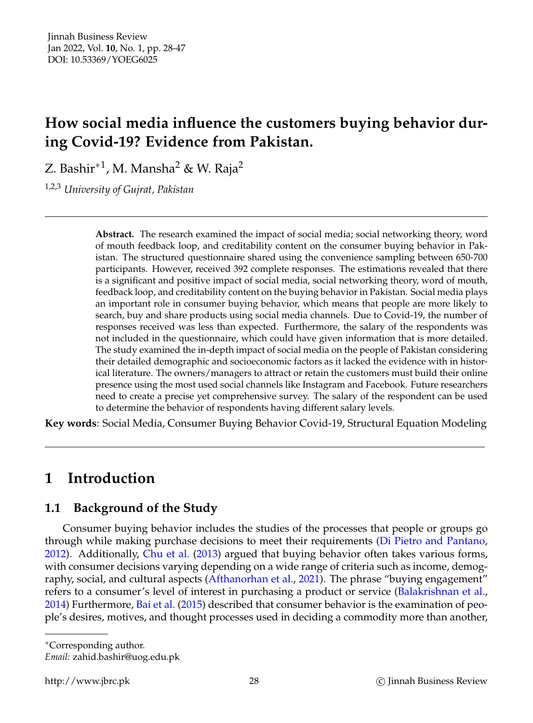# **How social media influence the customers buying behavior during Covid-19? Evidence from Pakistan.**

Z. Bashir $^{\ast1}$ , M. Mansha $^2$  & W. Raja $^2$ 

1,2,3 *University of Gujrat, Pakistan*

**Abstract.** The research examined the impact of social media; social networking theory, word of mouth feedback loop, and creditability content on the consumer buying behavior in Pakistan. The structured questionnaire shared using the convenience sampling between 650-700 participants. However, received 392 complete responses. The estimations revealed that there is a significant and positive impact of social media, social networking theory, word of mouth, feedback loop, and creditability content on the buying behavior in Pakistan. Social media plays an important role in consumer buying behavior, which means that people are more likely to search, buy and share products using social media channels. Due to Covid-19, the number of responses received was less than expected. Furthermore, the salary of the respondents was not included in the questionnaire, which could have given information that is more detailed. The study examined the in-depth impact of social media on the people of Pakistan considering their detailed demographic and socioeconomic factors as it lacked the evidence with in historical literature. The owners/managers to attract or retain the customers must build their online presence using the most used social channels like Instagram and Facebook. Future researchers need to create a precise yet comprehensive survey. The salary of the respondent can be used to determine the behavior of respondents having different salary levels.

**Key words**: Social Media, Consumer Buying Behavior Covid-19, Structural Equation Modeling

# **1 Introduction**

# **1.1 Background of the Study**

Consumer buying behavior includes the studies of the processes that people or groups go through while making purchase decisions to meet their requirements [\(Di Pietro and Pantano,](#page-17-0) [2012\)](#page-17-0). Additionally, [Chu et al.](#page-17-1) [\(2013\)](#page-17-1) argued that buying behavior often takes various forms, with consumer decisions varying depending on a wide range of criteria such as income, demography, social, and cultural aspects [\(Afthanorhan et al.,](#page-16-0) [2021\)](#page-16-0). The phrase "buying engagement" refers to a consumer's level of interest in purchasing a product or service [\(Balakrishnan et al.,](#page-17-2) [2014\)](#page-17-2) Furthermore, [Bai et al.](#page-17-3) [\(2015\)](#page-17-3) described that consumer behavior is the examination of people's desires, motives, and thought processes used in deciding a commodity more than another,

<sup>∗</sup>Corresponding author.

*Email:* zahid.bashir@uog.edu.pk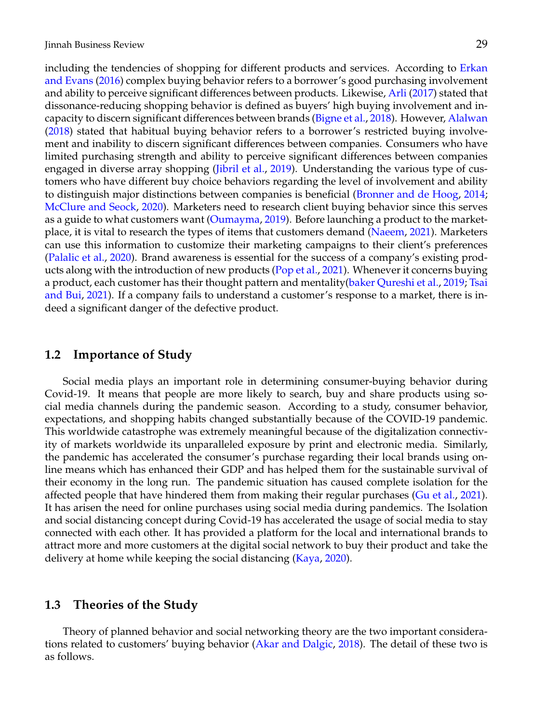including the tendencies of shopping for different products and services. According to [Erkan](#page-17-4) [and Evans](#page-17-4) [\(2016\)](#page-17-4) complex buying behavior refers to a borrower's good purchasing involvement and ability to perceive significant differences between products. Likewise, [Arli](#page-17-5) [\(2017\)](#page-17-5) stated that dissonance-reducing shopping behavior is defined as buyers' high buying involvement and incapacity to discern significant differences between brands [\(Bigne et al.,](#page-17-6) [2018\)](#page-17-6). However, [Alalwan](#page-17-7) [\(2018\)](#page-17-7) stated that habitual buying behavior refers to a borrower's restricted buying involvement and inability to discern significant differences between companies. Consumers who have limited purchasing strength and ability to perceive significant differences between companies engaged in diverse array shopping [\(Jibril et al.,](#page-18-0) [2019\)](#page-18-0). Understanding the various type of customers who have different buy choice behaviors regarding the level of involvement and ability to distinguish major distinctions between companies is beneficial [\(Bronner and de Hoog,](#page-17-8) [2014;](#page-17-8) [McClure and Seock,](#page-18-1) [2020\)](#page-18-1). Marketers need to research client buying behavior since this serves as a guide to what customers want [\(Oumayma,](#page-18-2) [2019\)](#page-18-2). Before launching a product to the marketplace, it is vital to research the types of items that customers demand [\(Naeem,](#page-18-3) [2021\)](#page-18-3). Marketers can use this information to customize their marketing campaigns to their client's preferences [\(Palalic et al.,](#page-18-4) [2020\)](#page-18-4). Brand awareness is essential for the success of a company's existing products along with the introduction of new products [\(Pop et al.,](#page-18-5) [2021\)](#page-18-5). Whenever it concerns buying a product, each customer has their thought pattern and mentality[\(baker Qureshi et al.,](#page-17-9) [2019;](#page-17-9) [Tsai](#page-19-0) [and Bui,](#page-19-0) [2021\)](#page-19-0). If a company fails to understand a customer's response to a market, there is indeed a significant danger of the defective product.

### **1.2 Importance of Study**

Social media plays an important role in determining consumer-buying behavior during Covid-19. It means that people are more likely to search, buy and share products using social media channels during the pandemic season. According to a study, consumer behavior, expectations, and shopping habits changed substantially because of the COVID-19 pandemic. This worldwide catastrophe was extremely meaningful because of the digitalization connectivity of markets worldwide its unparalleled exposure by print and electronic media. Similarly, the pandemic has accelerated the consumer's purchase regarding their local brands using online means which has enhanced their GDP and has helped them for the sustainable survival of their economy in the long run. The pandemic situation has caused complete isolation for the affected people that have hindered them from making their regular purchases [\(Gu et al.,](#page-18-6) [2021\)](#page-18-6). It has arisen the need for online purchases using social media during pandemics. The Isolation and social distancing concept during Covid-19 has accelerated the usage of social media to stay connected with each other. It has provided a platform for the local and international brands to attract more and more customers at the digital social network to buy their product and take the delivery at home while keeping the social distancing [\(Kaya,](#page-18-7) [2020\)](#page-18-7).

## **1.3 Theories of the Study**

Theory of planned behavior and social networking theory are the two important considerations related to customers' buying behavior [\(Akar and Dalgic,](#page-17-10) [2018\)](#page-17-10). The detail of these two is as follows.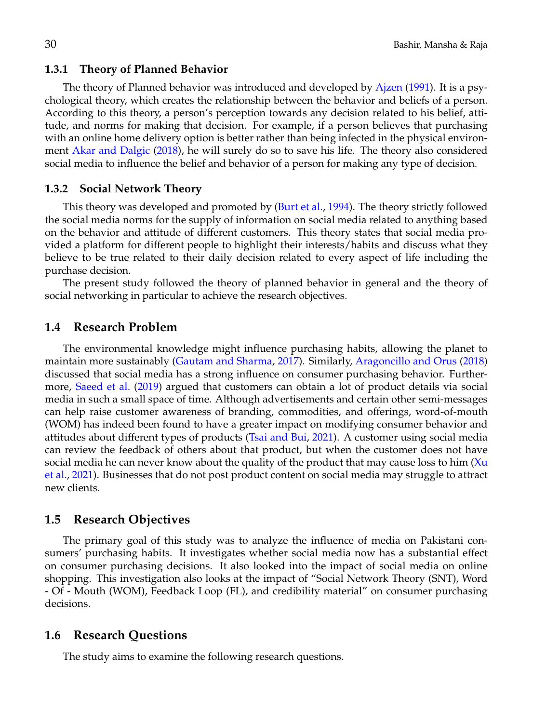#### **1.3.1 Theory of Planned Behavior**

The theory of Planned behavior was introduced and developed by [Ajzen](#page-16-1) [\(1991\)](#page-16-1). It is a psychological theory, which creates the relationship between the behavior and beliefs of a person. According to this theory, a person's perception towards any decision related to his belief, attitude, and norms for making that decision. For example, if a person believes that purchasing with an online home delivery option is better rather than being infected in the physical environment [Akar and Dalgic](#page-17-10) [\(2018\)](#page-17-10), he will surely do so to save his life. The theory also considered social media to influence the belief and behavior of a person for making any type of decision.

#### **1.3.2 Social Network Theory**

This theory was developed and promoted by [\(Burt et al.,](#page-17-11) [1994\)](#page-17-11). The theory strictly followed the social media norms for the supply of information on social media related to anything based on the behavior and attitude of different customers. This theory states that social media provided a platform for different people to highlight their interests/habits and discuss what they believe to be true related to their daily decision related to every aspect of life including the purchase decision.

The present study followed the theory of planned behavior in general and the theory of social networking in particular to achieve the research objectives.

### **1.4 Research Problem**

The environmental knowledge might influence purchasing habits, allowing the planet to maintain more sustainably [\(Gautam and Sharma,](#page-17-12) [2017\)](#page-17-12). Similarly, [Aragoncillo and Orus](#page-17-13) [\(2018\)](#page-17-13) discussed that social media has a strong influence on consumer purchasing behavior. Furthermore, [Saeed et al.](#page-19-1) [\(2019\)](#page-19-1) argued that customers can obtain a lot of product details via social media in such a small space of time. Although advertisements and certain other semi-messages can help raise customer awareness of branding, commodities, and offerings, word-of-mouth (WOM) has indeed been found to have a greater impact on modifying consumer behavior and attitudes about different types of products [\(Tsai and Bui,](#page-19-0) [2021\)](#page-19-0). A customer using social media can review the feedback of others about that product, but when the customer does not have social media he can never know about the quality of the product that may cause loss to him  $(Xu)$  $(Xu)$ [et al.,](#page-19-2) [2021\)](#page-19-2). Businesses that do not post product content on social media may struggle to attract new clients.

### **1.5 Research Objectives**

The primary goal of this study was to analyze the influence of media on Pakistani consumers' purchasing habits. It investigates whether social media now has a substantial effect on consumer purchasing decisions. It also looked into the impact of social media on online shopping. This investigation also looks at the impact of "Social Network Theory (SNT), Word - Of - Mouth (WOM), Feedback Loop (FL), and credibility material" on consumer purchasing decisions.

### **1.6 Research Questions**

The study aims to examine the following research questions.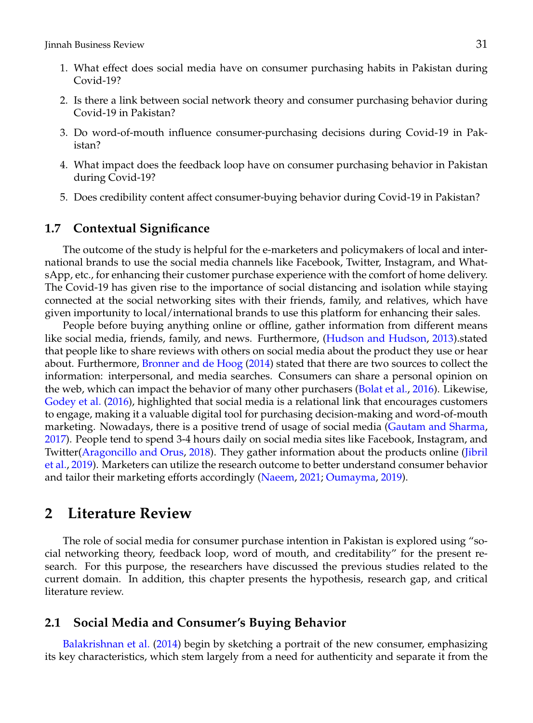- 1. What effect does social media have on consumer purchasing habits in Pakistan during Covid-19?
- 2. Is there a link between social network theory and consumer purchasing behavior during Covid-19 in Pakistan?
- 3. Do word-of-mouth influence consumer-purchasing decisions during Covid-19 in Pakistan?
- 4. What impact does the feedback loop have on consumer purchasing behavior in Pakistan during Covid-19?
- 5. Does credibility content affect consumer-buying behavior during Covid-19 in Pakistan?

## **1.7 Contextual Significance**

The outcome of the study is helpful for the e-marketers and policymakers of local and international brands to use the social media channels like Facebook, Twitter, Instagram, and WhatsApp, etc., for enhancing their customer purchase experience with the comfort of home delivery. The Covid-19 has given rise to the importance of social distancing and isolation while staying connected at the social networking sites with their friends, family, and relatives, which have given importunity to local/international brands to use this platform for enhancing their sales.

People before buying anything online or offline, gather information from different means like social media, friends, family, and news. Furthermore, [\(Hudson and Hudson,](#page-18-8) [2013\)](#page-18-8).stated that people like to share reviews with others on social media about the product they use or hear about. Furthermore, [Bronner and de Hoog](#page-17-8) [\(2014\)](#page-17-8) stated that there are two sources to collect the information: interpersonal, and media searches. Consumers can share a personal opinion on the web, which can impact the behavior of many other purchasers [\(Bolat et al.,](#page-17-14) [2016\)](#page-17-14). Likewise, [Godey et al.](#page-18-9) [\(2016\)](#page-18-9), highlighted that social media is a relational link that encourages customers to engage, making it a valuable digital tool for purchasing decision-making and word-of-mouth marketing. Nowadays, there is a positive trend of usage of social media [\(Gautam and Sharma,](#page-17-12) [2017\)](#page-17-12). People tend to spend 3-4 hours daily on social media sites like Facebook, Instagram, and Twitter[\(Aragoncillo and Orus,](#page-17-13) [2018\)](#page-17-13). They gather information about the products online [\(Jibril](#page-18-0) [et al.,](#page-18-0) [2019\)](#page-18-0). Marketers can utilize the research outcome to better understand consumer behavior and tailor their marketing efforts accordingly [\(Naeem,](#page-18-3) [2021;](#page-18-3) [Oumayma,](#page-18-2) [2019\)](#page-18-2).

## **2 Literature Review**

The role of social media for consumer purchase intention in Pakistan is explored using "social networking theory, feedback loop, word of mouth, and creditability" for the present research. For this purpose, the researchers have discussed the previous studies related to the current domain. In addition, this chapter presents the hypothesis, research gap, and critical literature review.

## **2.1 Social Media and Consumer's Buying Behavior**

[Balakrishnan et al.](#page-17-2) [\(2014\)](#page-17-2) begin by sketching a portrait of the new consumer, emphasizing its key characteristics, which stem largely from a need for authenticity and separate it from the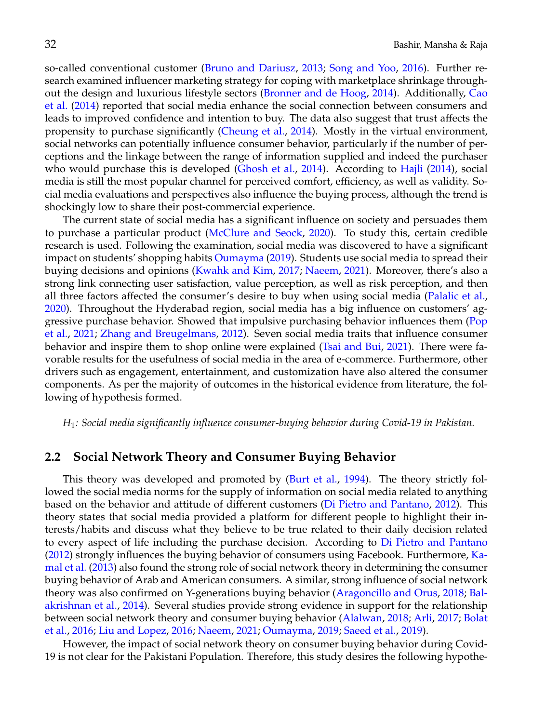so-called conventional customer [\(Bruno and Dariusz,](#page-17-15) [2013;](#page-17-15) [Song and Yoo,](#page-19-3) [2016\)](#page-19-3). Further research examined influencer marketing strategy for coping with marketplace shrinkage throughout the design and luxurious lifestyle sectors [\(Bronner and de Hoog,](#page-17-8) [2014\)](#page-17-8). Additionally, [Cao](#page-17-16) [et al.](#page-17-16) [\(2014\)](#page-17-16) reported that social media enhance the social connection between consumers and leads to improved confidence and intention to buy. The data also suggest that trust affects the propensity to purchase significantly [\(Cheung et al.,](#page-17-17) [2014\)](#page-17-17). Mostly in the virtual environment, social networks can potentially influence consumer behavior, particularly if the number of perceptions and the linkage between the range of information supplied and indeed the purchaser who would purchase this is developed [\(Ghosh et al.,](#page-17-18) [2014\)](#page-17-18). According to [Hajli](#page-18-10) [\(2014\)](#page-18-10), social media is still the most popular channel for perceived comfort, efficiency, as well as validity. Social media evaluations and perspectives also influence the buying process, although the trend is shockingly low to share their post-commercial experience.

The current state of social media has a significant influence on society and persuades them to purchase a particular product [\(McClure and Seock,](#page-18-1) [2020\)](#page-18-1). To study this, certain credible research is used. Following the examination, social media was discovered to have a significant impact on students' shopping habits [Oumayma](#page-18-2) [\(2019\)](#page-18-2). Students use social media to spread their buying decisions and opinions [\(Kwahk and Kim,](#page-18-11) [2017;](#page-18-11) [Naeem,](#page-18-3) [2021\)](#page-18-3). Moreover, there's also a strong link connecting user satisfaction, value perception, as well as risk perception, and then all three factors affected the consumer's desire to buy when using social media [\(Palalic et al.,](#page-18-4) [2020\)](#page-18-4). Throughout the Hyderabad region, social media has a big influence on customers' aggressive purchase behavior. Showed that impulsive purchasing behavior influences them [\(Pop](#page-18-5) [et al.,](#page-18-5) [2021;](#page-18-5) [Zhang and Breugelmans,](#page-19-4) [2012\)](#page-19-4). Seven social media traits that influence consumer behavior and inspire them to shop online were explained [\(Tsai and Bui,](#page-19-0) [2021\)](#page-19-0). There were favorable results for the usefulness of social media in the area of e-commerce. Furthermore, other drivers such as engagement, entertainment, and customization have also altered the consumer components. As per the majority of outcomes in the historical evidence from literature, the following of hypothesis formed.

*H*1*: Social media significantly influence consumer-buying behavior during Covid-19 in Pakistan.*

## **2.2 Social Network Theory and Consumer Buying Behavior**

This theory was developed and promoted by [\(Burt et al.,](#page-17-11) [1994\)](#page-17-11). The theory strictly followed the social media norms for the supply of information on social media related to anything based on the behavior and attitude of different customers [\(Di Pietro and Pantano,](#page-17-0) [2012\)](#page-17-0). This theory states that social media provided a platform for different people to highlight their interests/habits and discuss what they believe to be true related to their daily decision related to every aspect of life including the purchase decision. According to [Di Pietro and Pantano](#page-17-0) [\(2012\)](#page-17-0) strongly influences the buying behavior of consumers using Facebook. Furthermore, [Ka](#page-18-12)[mal et al.](#page-18-12) [\(2013\)](#page-18-12) also found the strong role of social network theory in determining the consumer buying behavior of Arab and American consumers. A similar, strong influence of social network theory was also confirmed on Y-generations buying behavior [\(Aragoncillo and Orus,](#page-17-13) [2018;](#page-17-13) [Bal](#page-17-2)[akrishnan et al.,](#page-17-2) [2014\)](#page-17-2). Several studies provide strong evidence in support for the relationship between social network theory and consumer buying behavior [\(Alalwan,](#page-17-7) [2018;](#page-17-7) [Arli,](#page-17-5) [2017;](#page-17-5) [Bolat](#page-17-14) [et al.,](#page-17-14) [2016;](#page-17-14) [Liu and Lopez,](#page-18-13) [2016;](#page-18-13) [Naeem,](#page-18-3) [2021;](#page-18-3) [Oumayma,](#page-18-2) [2019;](#page-18-2) [Saeed et al.,](#page-19-1) [2019\)](#page-19-1).

However, the impact of social network theory on consumer buying behavior during Covid-19 is not clear for the Pakistani Population. Therefore, this study desires the following hypothe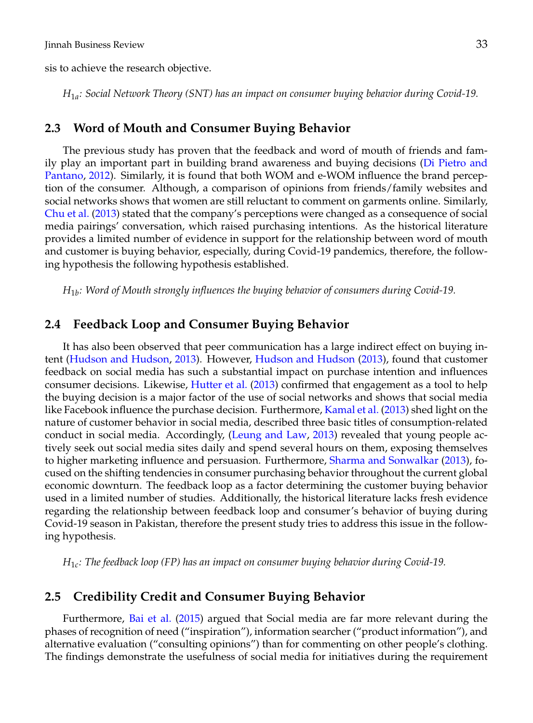sis to achieve the research objective.

*H*1*<sup>a</sup> : Social Network Theory (SNT) has an impact on consumer buying behavior during Covid-19.*

## **2.3 Word of Mouth and Consumer Buying Behavior**

The previous study has proven that the feedback and word of mouth of friends and family play an important part in building brand awareness and buying decisions [\(Di Pietro and](#page-17-0) [Pantano,](#page-17-0) [2012\)](#page-17-0). Similarly, it is found that both WOM and e-WOM influence the brand perception of the consumer. Although, a comparison of opinions from friends/family websites and social networks shows that women are still reluctant to comment on garments online. Similarly, [Chu et al.](#page-17-1) [\(2013\)](#page-17-1) stated that the company's perceptions were changed as a consequence of social media pairings' conversation, which raised purchasing intentions. As the historical literature provides a limited number of evidence in support for the relationship between word of mouth and customer is buying behavior, especially, during Covid-19 pandemics, therefore, the following hypothesis the following hypothesis established.

*H*1*<sup>b</sup> : Word of Mouth strongly influences the buying behavior of consumers during Covid-19.*

### **2.4 Feedback Loop and Consumer Buying Behavior**

It has also been observed that peer communication has a large indirect effect on buying intent [\(Hudson and Hudson,](#page-18-8) [2013\)](#page-18-8). However, [Hudson and Hudson](#page-18-8) [\(2013\)](#page-18-8), found that customer feedback on social media has such a substantial impact on purchase intention and influences consumer decisions. Likewise, [Hutter et al.](#page-18-14) [\(2013\)](#page-18-14) confirmed that engagement as a tool to help the buying decision is a major factor of the use of social networks and shows that social media like Facebook influence the purchase decision. Furthermore, [Kamal et al.](#page-18-12) [\(2013\)](#page-18-12) shed light on the nature of customer behavior in social media, described three basic titles of consumption-related conduct in social media. Accordingly, [\(Leung and Law,](#page-18-15) [2013\)](#page-18-15) revealed that young people actively seek out social media sites daily and spend several hours on them, exposing themselves to higher marketing influence and persuasion. Furthermore, [Sharma and Sonwalkar](#page-19-5) [\(2013\)](#page-19-5), focused on the shifting tendencies in consumer purchasing behavior throughout the current global economic downturn. The feedback loop as a factor determining the customer buying behavior used in a limited number of studies. Additionally, the historical literature lacks fresh evidence regarding the relationship between feedback loop and consumer's behavior of buying during Covid-19 season in Pakistan, therefore the present study tries to address this issue in the following hypothesis.

*H*1*<sup>c</sup> : The feedback loop (FP) has an impact on consumer buying behavior during Covid-19.*

## **2.5 Credibility Credit and Consumer Buying Behavior**

Furthermore, [Bai et al.](#page-17-3) [\(2015\)](#page-17-3) argued that Social media are far more relevant during the phases of recognition of need ("inspiration"), information searcher ("product information"), and alternative evaluation ("consulting opinions") than for commenting on other people's clothing. The findings demonstrate the usefulness of social media for initiatives during the requirement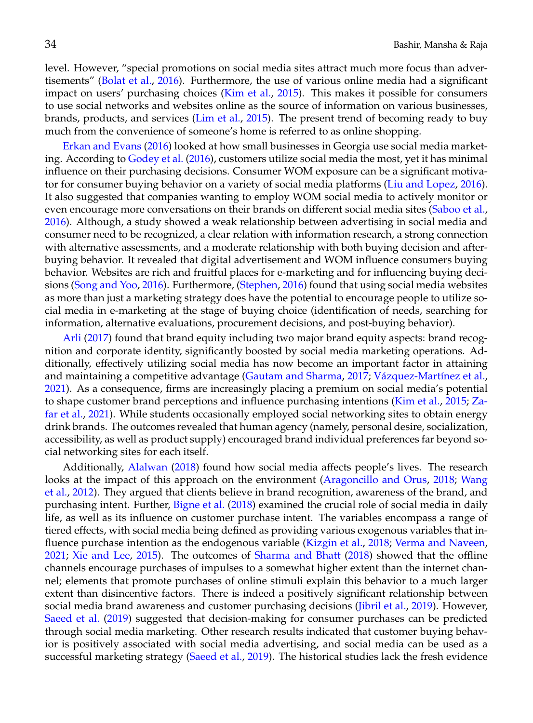level. However, "special promotions on social media sites attract much more focus than advertisements" [\(Bolat et al.,](#page-17-14) [2016\)](#page-17-14). Furthermore, the use of various online media had a significant impact on users' purchasing choices [\(Kim et al.,](#page-18-16) [2015\)](#page-18-16). This makes it possible for consumers to use social networks and websites online as the source of information on various businesses, brands, products, and services [\(Lim et al.,](#page-18-17) [2015\)](#page-18-17). The present trend of becoming ready to buy much from the convenience of someone's home is referred to as online shopping.

[Erkan and Evans](#page-17-4) [\(2016\)](#page-17-4) looked at how small businesses in Georgia use social media marketing. According to [Godey et al.](#page-18-9) [\(2016\)](#page-18-9), customers utilize social media the most, yet it has minimal influence on their purchasing decisions. Consumer WOM exposure can be a significant motivator for consumer buying behavior on a variety of social media platforms [\(Liu and Lopez,](#page-18-13) [2016\)](#page-18-13). It also suggested that companies wanting to employ WOM social media to actively monitor or even encourage more conversations on their brands on different social media sites [\(Saboo et al.,](#page-19-6) [2016\)](#page-19-6). Although, a study showed a weak relationship between advertising in social media and consumer need to be recognized, a clear relation with information research, a strong connection with alternative assessments, and a moderate relationship with both buying decision and afterbuying behavior. It revealed that digital advertisement and WOM influence consumers buying behavior. Websites are rich and fruitful places for e-marketing and for influencing buying decisions [\(Song and Yoo,](#page-19-3) [2016\)](#page-19-3). Furthermore, [\(Stephen,](#page-19-7) [2016\)](#page-19-7) found that using social media websites as more than just a marketing strategy does have the potential to encourage people to utilize social media in e-marketing at the stage of buying choice (identification of needs, searching for information, alternative evaluations, procurement decisions, and post-buying behavior).

[Arli](#page-17-5) [\(2017\)](#page-17-5) found that brand equity including two major brand equity aspects: brand recognition and corporate identity, significantly boosted by social media marketing operations. Additionally, effectively utilizing social media has now become an important factor in attaining and maintaining a competitive advantage [\(Gautam and Sharma,](#page-17-12) [2017;](#page-17-12) Vázquez-Martínez et al., [2021\)](#page-19-8). As a consequence, firms are increasingly placing a premium on social media's potential to shape customer brand perceptions and influence purchasing intentions [\(Kim et al.,](#page-18-16) [2015;](#page-18-16) [Za](#page-19-9)[far et al.,](#page-19-9) [2021\)](#page-19-9). While students occasionally employed social networking sites to obtain energy drink brands. The outcomes revealed that human agency (namely, personal desire, socialization, accessibility, as well as product supply) encouraged brand individual preferences far beyond social networking sites for each itself.

Additionally, [Alalwan](#page-17-7) [\(2018\)](#page-17-7) found how social media affects people's lives. The research looks at the impact of this approach on the environment [\(Aragoncillo and Orus,](#page-17-13) [2018;](#page-17-13) [Wang](#page-19-10) [et al.,](#page-19-10) [2012\)](#page-19-10). They argued that clients believe in brand recognition, awareness of the brand, and purchasing intent. Further, [Bigne et al.](#page-17-6) [\(2018\)](#page-17-6) examined the crucial role of social media in daily life, as well as its influence on customer purchase intent. The variables encompass a range of tiered effects, with social media being defined as providing various exogenous variables that influence purchase intention as the endogenous variable [\(Kizgin et al.,](#page-18-18) [2018;](#page-18-18) [Verma and Naveen,](#page-19-11) [2021;](#page-19-11) [Xie and Lee,](#page-19-12) [2015\)](#page-19-12). The outcomes of [Sharma and Bhatt](#page-19-13) [\(2018\)](#page-19-13) showed that the offline channels encourage purchases of impulses to a somewhat higher extent than the internet channel; elements that promote purchases of online stimuli explain this behavior to a much larger extent than disincentive factors. There is indeed a positively significant relationship between social media brand awareness and customer purchasing decisions [\(Jibril et al.,](#page-18-0) [2019\)](#page-18-0). However, [Saeed et al.](#page-19-1) [\(2019\)](#page-19-1) suggested that decision-making for consumer purchases can be predicted through social media marketing. Other research results indicated that customer buying behavior is positively associated with social media advertising, and social media can be used as a successful marketing strategy [\(Saeed et al.,](#page-19-1) [2019\)](#page-19-1). The historical studies lack the fresh evidence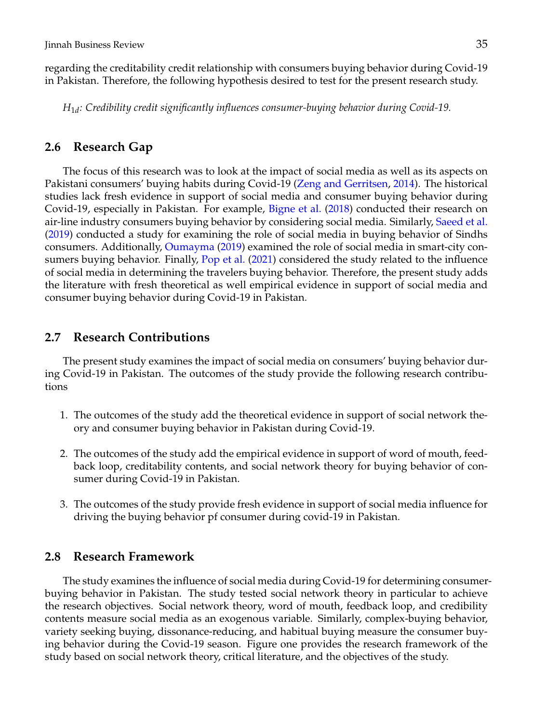regarding the creditability credit relationship with consumers buying behavior during Covid-19 in Pakistan. Therefore, the following hypothesis desired to test for the present research study.

*H*1*<sup>d</sup> : Credibility credit significantly influences consumer-buying behavior during Covid-19.*

## **2.6 Research Gap**

The focus of this research was to look at the impact of social media as well as its aspects on Pakistani consumers' buying habits during Covid-19 [\(Zeng and Gerritsen,](#page-19-14) [2014\)](#page-19-14). The historical studies lack fresh evidence in support of social media and consumer buying behavior during Covid-19, especially in Pakistan. For example, [Bigne et al.](#page-17-6) [\(2018\)](#page-17-6) conducted their research on air-line industry consumers buying behavior by considering social media. Similarly, [Saeed et al.](#page-19-1) [\(2019\)](#page-19-1) conducted a study for examining the role of social media in buying behavior of Sindhs consumers. Additionally, [Oumayma](#page-18-2) [\(2019\)](#page-18-2) examined the role of social media in smart-city consumers buying behavior. Finally, [Pop et al.](#page-18-5) [\(2021\)](#page-18-5) considered the study related to the influence of social media in determining the travelers buying behavior. Therefore, the present study adds the literature with fresh theoretical as well empirical evidence in support of social media and consumer buying behavior during Covid-19 in Pakistan.

## **2.7 Research Contributions**

The present study examines the impact of social media on consumers' buying behavior during Covid-19 in Pakistan. The outcomes of the study provide the following research contributions

- 1. The outcomes of the study add the theoretical evidence in support of social network theory and consumer buying behavior in Pakistan during Covid-19.
- 2. The outcomes of the study add the empirical evidence in support of word of mouth, feedback loop, creditability contents, and social network theory for buying behavior of consumer during Covid-19 in Pakistan.
- 3. The outcomes of the study provide fresh evidence in support of social media influence for driving the buying behavior pf consumer during covid-19 in Pakistan.

## **2.8 Research Framework**

The study examines the influence of social media during Covid-19 for determining consumerbuying behavior in Pakistan. The study tested social network theory in particular to achieve the research objectives. Social network theory, word of mouth, feedback loop, and credibility contents measure social media as an exogenous variable. Similarly, complex-buying behavior, variety seeking buying, dissonance-reducing, and habitual buying measure the consumer buying behavior during the Covid-19 season. Figure one provides the research framework of the study based on social network theory, critical literature, and the objectives of the study.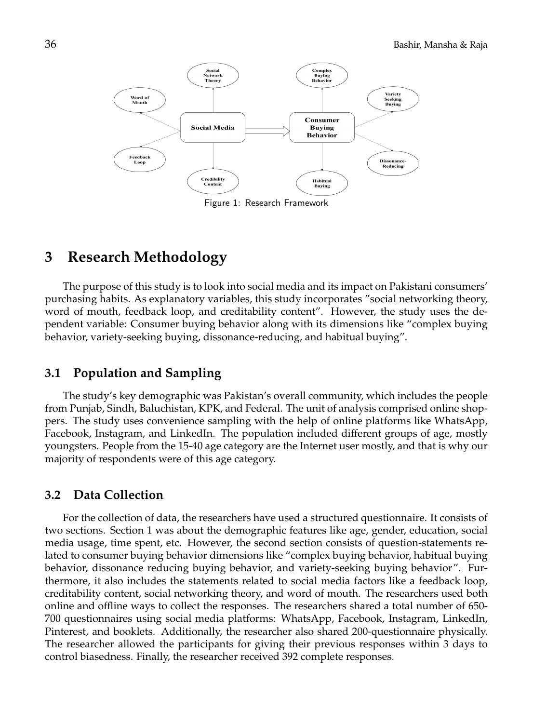

Figure 1: Research Framework

# **3 Research Methodology**

The purpose of this study is to look into social media and its impact on Pakistani consumers' purchasing habits. As explanatory variables, this study incorporates "social networking theory, word of mouth, feedback loop, and creditability content". However, the study uses the dependent variable: Consumer buying behavior along with its dimensions like "complex buying behavior, variety-seeking buying, dissonance-reducing, and habitual buying".

## **3.1 Population and Sampling**

The study's key demographic was Pakistan's overall community, which includes the people from Punjab, Sindh, Baluchistan, KPK, and Federal. The unit of analysis comprised online shoppers. The study uses convenience sampling with the help of online platforms like WhatsApp, Facebook, Instagram, and LinkedIn. The population included different groups of age, mostly youngsters. People from the 15-40 age category are the Internet user mostly, and that is why our majority of respondents were of this age category.

## **3.2 Data Collection**

For the collection of data, the researchers have used a structured questionnaire. It consists of two sections. Section 1 was about the demographic features like age, gender, education, social media usage, time spent, etc. However, the second section consists of question-statements related to consumer buying behavior dimensions like "complex buying behavior, habitual buying behavior, dissonance reducing buying behavior, and variety-seeking buying behavior". Furthermore, it also includes the statements related to social media factors like a feedback loop, creditability content, social networking theory, and word of mouth. The researchers used both online and offline ways to collect the responses. The researchers shared a total number of 650- 700 questionnaires using social media platforms: WhatsApp, Facebook, Instagram, LinkedIn, Pinterest, and booklets. Additionally, the researcher also shared 200-questionnaire physically. The researcher allowed the participants for giving their previous responses within 3 days to control biasedness. Finally, the researcher received 392 complete responses.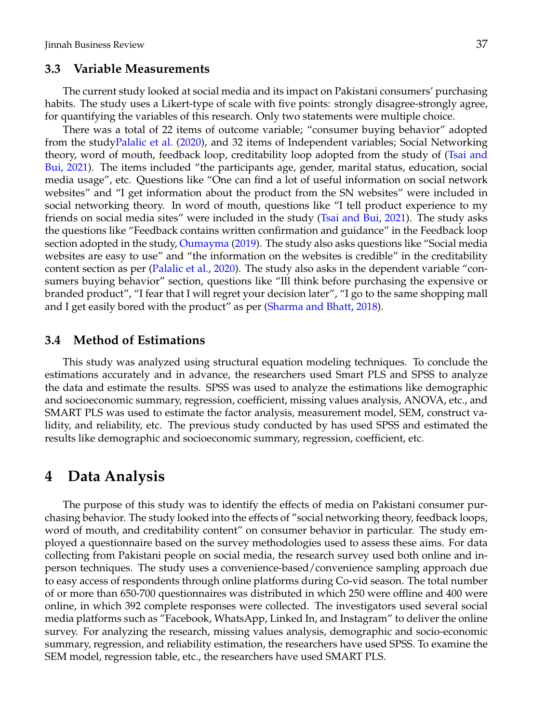## **3.3 Variable Measurements**

The current study looked at social media and its impact on Pakistani consumers' purchasing habits. The study uses a Likert-type of scale with five points: strongly disagree-strongly agree, for quantifying the variables of this research. Only two statements were multiple choice.

There was a total of 22 items of outcome variable; "consumer buying behavior" adopted from the stud[yPalalic et al.](#page-18-4) [\(2020\)](#page-18-4), and 32 items of Independent variables; Social Networking theory, word of mouth, feedback loop, creditability loop adopted from the study of [\(Tsai and](#page-19-0) [Bui,](#page-19-0) [2021\)](#page-19-0). The items included "the participants age, gender, marital status, education, social media usage", etc. Questions like "One can find a lot of useful information on social network websites" and "I get information about the product from the SN websites" were included in social networking theory. In word of mouth, questions like "I tell product experience to my friends on social media sites" were included in the study [\(Tsai and Bui,](#page-19-0) [2021\)](#page-19-0). The study asks the questions like "Feedback contains written confirmation and guidance" in the Feedback loop section adopted in the study, [Oumayma](#page-18-2) [\(2019\)](#page-18-2). The study also asks questions like "Social media websites are easy to use" and "the information on the websites is credible" in the creditability content section as per [\(Palalic et al.,](#page-18-4) [2020\)](#page-18-4). The study also asks in the dependent variable "consumers buying behavior" section, questions like "Ill think before purchasing the expensive or branded product", "I fear that I will regret your decision later", "I go to the same shopping mall and I get easily bored with the product" as per [\(Sharma and Bhatt,](#page-19-13) [2018\)](#page-19-13).

## **3.4 Method of Estimations**

This study was analyzed using structural equation modeling techniques. To conclude the estimations accurately and in advance, the researchers used Smart PLS and SPSS to analyze the data and estimate the results. SPSS was used to analyze the estimations like demographic and socioeconomic summary, regression, coefficient, missing values analysis, ANOVA, etc., and SMART PLS was used to estimate the factor analysis, measurement model, SEM, construct validity, and reliability, etc. The previous study conducted by has used SPSS and estimated the results like demographic and socioeconomic summary, regression, coefficient, etc.

## **4 Data Analysis**

The purpose of this study was to identify the effects of media on Pakistani consumer purchasing behavior. The study looked into the effects of "social networking theory, feedback loops, word of mouth, and creditability content" on consumer behavior in particular. The study employed a questionnaire based on the survey methodologies used to assess these aims. For data collecting from Pakistani people on social media, the research survey used both online and inperson techniques. The study uses a convenience-based/convenience sampling approach due to easy access of respondents through online platforms during Co-vid season. The total number of or more than 650-700 questionnaires was distributed in which 250 were offline and 400 were online, in which 392 complete responses were collected. The investigators used several social media platforms such as "Facebook, WhatsApp, Linked In, and Instagram" to deliver the online survey. For analyzing the research, missing values analysis, demographic and socio-economic summary, regression, and reliability estimation, the researchers have used SPSS. To examine the SEM model, regression table, etc., the researchers have used SMART PLS.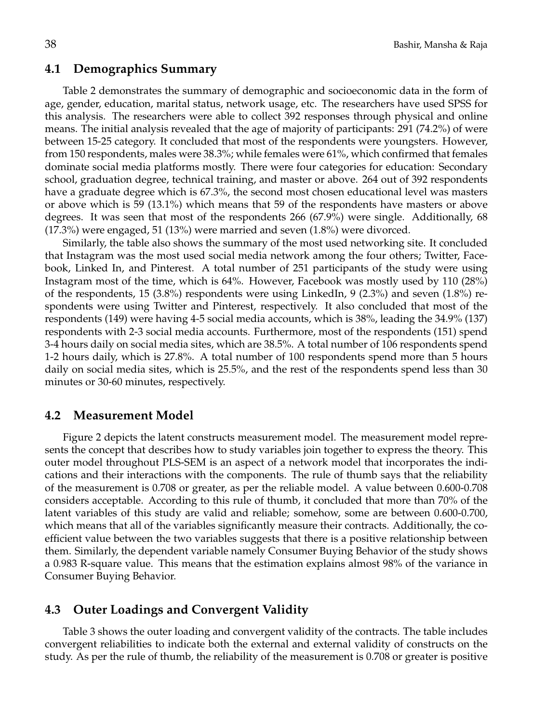### **4.1 Demographics Summary**

Table 2 demonstrates the summary of demographic and socioeconomic data in the form of age, gender, education, marital status, network usage, etc. The researchers have used SPSS for this analysis. The researchers were able to collect 392 responses through physical and online means. The initial analysis revealed that the age of majority of participants: 291 (74.2%) of were between 15-25 category. It concluded that most of the respondents were youngsters. However, from 150 respondents, males were 38.3%; while females were 61%, which confirmed that females dominate social media platforms mostly. There were four categories for education: Secondary school, graduation degree, technical training, and master or above. 264 out of 392 respondents have a graduate degree which is 67.3%, the second most chosen educational level was masters or above which is 59 (13.1%) which means that 59 of the respondents have masters or above degrees. It was seen that most of the respondents 266 (67.9%) were single. Additionally, 68  $(17.3%)$  were engaged, 51  $(13%)$  were married and seven  $(1.8%)$  were divorced.

Similarly, the table also shows the summary of the most used networking site. It concluded that Instagram was the most used social media network among the four others; Twitter, Facebook, Linked In, and Pinterest. A total number of 251 participants of the study were using Instagram most of the time, which is 64%. However, Facebook was mostly used by 110 (28%) of the respondents, 15 (3.8%) respondents were using LinkedIn, 9 (2.3%) and seven (1.8%) respondents were using Twitter and Pinterest, respectively. It also concluded that most of the respondents (149) were having 4-5 social media accounts, which is 38%, leading the 34.9% (137) respondents with 2-3 social media accounts. Furthermore, most of the respondents (151) spend 3-4 hours daily on social media sites, which are 38.5%. A total number of 106 respondents spend 1-2 hours daily, which is 27.8%. A total number of 100 respondents spend more than 5 hours daily on social media sites, which is 25.5%, and the rest of the respondents spend less than 30 minutes or 30-60 minutes, respectively.

### **4.2 Measurement Model**

Figure 2 depicts the latent constructs measurement model. The measurement model represents the concept that describes how to study variables join together to express the theory. This outer model throughout PLS-SEM is an aspect of a network model that incorporates the indications and their interactions with the components. The rule of thumb says that the reliability of the measurement is 0.708 or greater, as per the reliable model. A value between 0.600-0.708 considers acceptable. According to this rule of thumb, it concluded that more than 70% of the latent variables of this study are valid and reliable; somehow, some are between 0.600-0.700, which means that all of the variables significantly measure their contracts. Additionally, the coefficient value between the two variables suggests that there is a positive relationship between them. Similarly, the dependent variable namely Consumer Buying Behavior of the study shows a 0.983 R-square value. This means that the estimation explains almost 98% of the variance in Consumer Buying Behavior.

## **4.3 Outer Loadings and Convergent Validity**

Table 3 shows the outer loading and convergent validity of the contracts. The table includes convergent reliabilities to indicate both the external and external validity of constructs on the study. As per the rule of thumb, the reliability of the measurement is 0.708 or greater is positive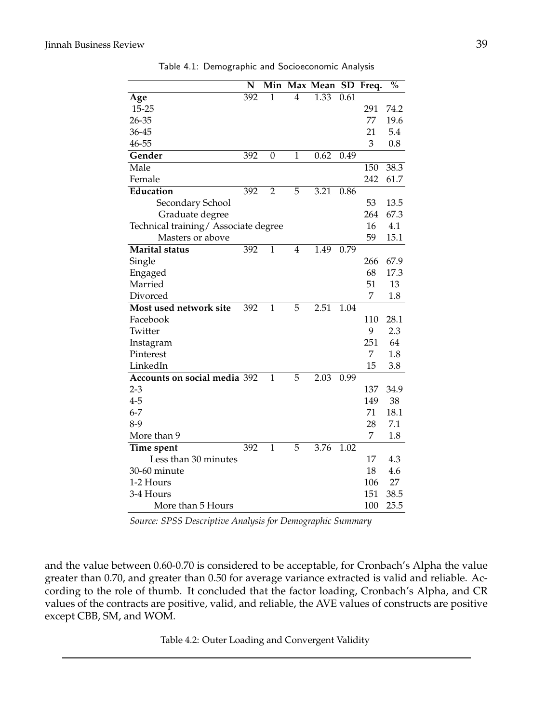|                                      | N   | Min          |                | Max Mean SD |      | Freq. | $\overline{\mathbf{v}}_{0}$ |
|--------------------------------------|-----|--------------|----------------|-------------|------|-------|-----------------------------|
| Age                                  | 392 | 1            | 4              | 1.33        | 0.61 |       |                             |
| 15-25                                |     |              |                |             |      | 291   | 74.2                        |
| 26-35                                |     |              |                |             |      | 77    | 19.6                        |
| 36-45                                |     |              |                |             |      | 21    | 5.4                         |
| 46-55                                |     |              |                |             |      | 3     | 0.8                         |
| Gender                               | 392 | 0            | 1              | 0.62        | 0.49 |       |                             |
| Male                                 |     |              |                |             |      | 150   | 38.3                        |
| Female                               |     |              |                |             |      | 242   | 61.7                        |
| Education                            | 392 | 2            | 5              | 3.21        | 0.86 |       |                             |
| Secondary School                     |     |              |                |             |      | 53    | 13.5                        |
| Graduate degree                      |     |              |                |             |      | 264   | 67.3                        |
| Technical training/ Associate degree |     |              |                |             |      | 16    | 4.1                         |
| Masters or above                     |     |              |                |             |      | 59    | 15.1                        |
| <b>Marital status</b>                | 392 | $\mathbf{1}$ | $\overline{4}$ | 1.49        | 0.79 |       |                             |
| Single                               |     |              |                |             |      | 266   | 67.9                        |
| Engaged                              |     |              |                |             |      | 68    | 17.3                        |
| Married                              |     |              |                |             |      | 51    | 13                          |
| Divorced                             |     |              |                |             |      | 7     | 1.8                         |
| Most used network site               | 392 | 1            | 5              | 2.51        | 1.04 |       |                             |
| Facebook                             |     |              |                |             |      | 110   | 28.1                        |
| Twitter                              |     |              |                |             |      | 9     | 2.3                         |
| Instagram                            |     |              |                |             |      | 251   | 64                          |
| Pinterest                            |     |              |                |             |      | 7     | 1.8                         |
| LinkedIn                             |     |              |                |             |      | 15    | 3.8                         |
| Accounts on social media 392         |     | 1            | 5              | 2.03        | 0.99 |       |                             |
| 2-3                                  |     |              |                |             |      | 137   | 34.9                        |
| 4-5                                  |     |              |                |             |      | 149   | 38                          |
| $6 - 7$                              |     |              |                |             |      | 71    | 18.1                        |
| 8-9                                  |     |              |                |             |      | 28    | 7.1                         |
| More than 9                          |     |              |                |             |      | 7     | 1.8                         |
| Time spent                           | 392 | 1            | 5              | 3.76        | 1.02 |       |                             |
| Less than 30 minutes                 |     |              |                |             |      | 17    | 4.3                         |
| 30-60 minute                         |     |              |                |             |      | 18    | 4.6                         |
| 1-2 Hours                            |     |              |                |             |      | 106   | 27                          |
| 3-4 Hours                            |     |              |                |             |      | 151   | 38.5                        |
| More than 5 Hours                    |     |              |                |             |      | 100   | 25.5                        |

Table 4.1: Demographic and Socioeconomic Analysis

*Source: SPSS Descriptive Analysis for Demographic Summary*

and the value between 0.60-0.70 is considered to be acceptable, for Cronbach's Alpha the value greater than 0.70, and greater than 0.50 for average variance extracted is valid and reliable. According to the role of thumb. It concluded that the factor loading, Cronbach's Alpha, and CR values of the contracts are positive, valid, and reliable, the AVE values of constructs are positive except CBB, SM, and WOM.

Table 4.2: Outer Loading and Convergent Validity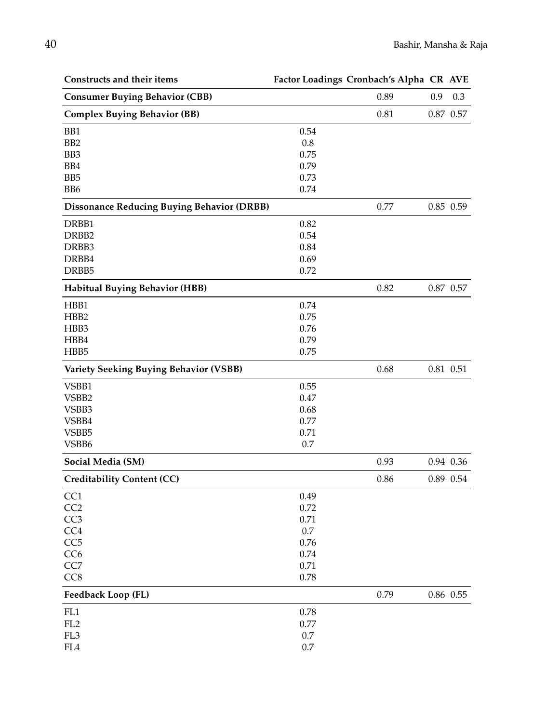| Constructs and their items                        |          | Factor Loadings Cronbach's Alpha CR AVE |     |             |
|---------------------------------------------------|----------|-----------------------------------------|-----|-------------|
| <b>Consumer Buying Behavior (CBB)</b>             |          | 0.89                                    | 0.9 | 0.3         |
| <b>Complex Buying Behavior (BB)</b>               |          | 0.81                                    |     | $0.87$ 0.57 |
| B <sub>B1</sub>                                   | 0.54     |                                         |     |             |
| B <sub>B2</sub>                                   | 0.8      |                                         |     |             |
| BB <sub>3</sub>                                   | 0.75     |                                         |     |             |
| BB4                                               | 0.79     |                                         |     |             |
| BB <sub>5</sub>                                   | 0.73     |                                         |     |             |
| BB <sub>6</sub>                                   | 0.74     |                                         |     |             |
| <b>Dissonance Reducing Buying Behavior (DRBB)</b> |          | 0.77                                    |     | 0.85 0.59   |
| DRBB1                                             | 0.82     |                                         |     |             |
| DRBB <sub>2</sub>                                 | 0.54     |                                         |     |             |
| DRBB3                                             | 0.84     |                                         |     |             |
| DRBB4                                             | 0.69     |                                         |     |             |
| DRBB <sub>5</sub>                                 | 0.72     |                                         |     |             |
| <b>Habitual Buying Behavior (HBB)</b>             |          | 0.82                                    |     | 0.87 0.57   |
| HBB1                                              | 0.74     |                                         |     |             |
| HBB2                                              | 0.75     |                                         |     |             |
| HBB3                                              | 0.76     |                                         |     |             |
| HBB4                                              | 0.79     |                                         |     |             |
| HBB5                                              | 0.75     |                                         |     |             |
| <b>Variety Seeking Buying Behavior (VSBB)</b>     |          | 0.68                                    |     | 0.81 0.51   |
| VSBB1                                             | 0.55     |                                         |     |             |
| VSBB2                                             | 0.47     |                                         |     |             |
| VSBB3                                             | 0.68     |                                         |     |             |
| VSBB4                                             | 0.77     |                                         |     |             |
| VSBB5                                             | 0.71     |                                         |     |             |
| VSBB6                                             | 0.7      |                                         |     |             |
| Social Media (SM)                                 |          | 0.93                                    |     | 0.94 0.36   |
| <b>Creditability Content (CC)</b>                 |          | 0.86                                    |     | 0.89 0.54   |
| CC1                                               | 0.49     |                                         |     |             |
| CC <sub>2</sub>                                   | 0.72     |                                         |     |             |
| CC <sub>3</sub>                                   | 0.71     |                                         |     |             |
| CC <sub>4</sub>                                   | 0.7      |                                         |     |             |
| CC <sub>5</sub>                                   | 0.76     |                                         |     |             |
| CC <sub>6</sub>                                   | 0.74     |                                         |     |             |
| CC7                                               | $0.71\,$ |                                         |     |             |
| CC8                                               | 0.78     |                                         |     |             |
| Feedback Loop (FL)                                |          | 0.79                                    |     | 0.86 0.55   |
| FL <sub>1</sub>                                   | 0.78     |                                         |     |             |
| $\rm FL2$                                         | 0.77     |                                         |     |             |
| FL3                                               | 0.7      |                                         |     |             |
| ${\rm F}L4$                                       | 0.7      |                                         |     |             |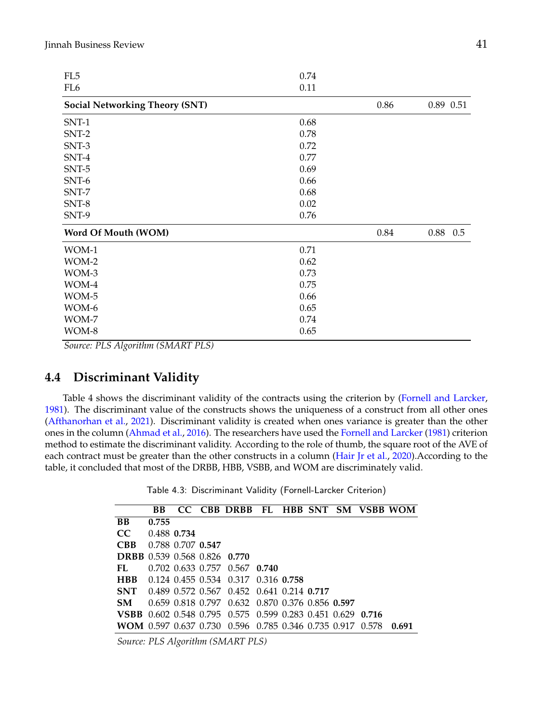| FL5                                   | 0.74 |      |           |
|---------------------------------------|------|------|-----------|
| FL <sub>6</sub>                       | 0.11 |      |           |
| <b>Social Networking Theory (SNT)</b> |      | 0.86 | 0.89 0.51 |
| SNT-1                                 | 0.68 |      |           |
| SNT-2                                 | 0.78 |      |           |
| $SNT-3$                               | 0.72 |      |           |
| SNT-4                                 | 0.77 |      |           |
| $SNT-5$                               | 0.69 |      |           |
| $SNT-6$                               | 0.66 |      |           |
| $SNT-7$                               | 0.68 |      |           |
| $SNT-8$                               | 0.02 |      |           |
| SNT-9                                 | 0.76 |      |           |
| Word Of Mouth (WOM)                   |      | 0.84 | 0.88 0.5  |
| WOM-1                                 | 0.71 |      |           |
| WOM-2                                 | 0.62 |      |           |
| WOM-3                                 | 0.73 |      |           |
| WOM-4                                 | 0.75 |      |           |
| WOM-5                                 | 0.66 |      |           |
| WOM-6                                 | 0.65 |      |           |
| WOM-7                                 | 0.74 |      |           |
| WOM-8                                 | 0.65 |      |           |
|                                       |      |      |           |

*Source: PLS Algorithm (SMART PLS)*

# **4.4 Discriminant Validity**

Table 4 shows the discriminant validity of the contracts using the criterion by [\(Fornell and Larcker,](#page-17-19) [1981\)](#page-17-19). The discriminant value of the constructs shows the uniqueness of a construct from all other ones [\(Afthanorhan et al.,](#page-16-0) [2021\)](#page-16-0). Discriminant validity is created when ones variance is greater than the other ones in the column [\(Ahmad et al.,](#page-16-2) [2016\)](#page-16-2). The researchers have used the [Fornell and Larcker](#page-17-19) [\(1981\)](#page-17-19) criterion method to estimate the discriminant validity. According to the role of thumb, the square root of the AVE of each contract must be greater than the other constructs in a column [\(Hair Jr et al.,](#page-18-19) [2020\)](#page-18-19).According to the table, it concluded that most of the DRBB, HBB, VSBB, and WOM are discriminately valid.

Table 4.3: Discriminant Validity (Fornell-Larcker Criterion)

|                                                           | BB.   |                   | CC CBB DRBB FL HBB SNT SM VSBB WOM                         |  |  |       |
|-----------------------------------------------------------|-------|-------------------|------------------------------------------------------------|--|--|-------|
| <b>BB</b>                                                 | 0.755 |                   |                                                            |  |  |       |
| CC.                                                       |       | 0.488 0.734       |                                                            |  |  |       |
| <b>CBB</b>                                                |       | 0.788 0.707 0.547 |                                                            |  |  |       |
| <b>DRBB</b> 0.539 0.568 0.826 0.770                       |       |                   |                                                            |  |  |       |
| FL.                                                       |       |                   | 0.702 0.633 0.757 0.567 0.740                              |  |  |       |
| <b>HBB</b>                                                |       |                   | 0.124 0.455 0.534 0.317 0.316 0.758                        |  |  |       |
| <b>SNT</b>                                                |       |                   | 0.489 0.572 0.567 0.452 0.641 0.214 0.717                  |  |  |       |
| <b>SM</b>                                                 |       |                   | 0.659 0.818 0.797 0.632 0.870 0.376 0.856 0.597            |  |  |       |
|                                                           |       |                   | VSBB 0.602 0.548 0.795 0.575 0.599 0.283 0.451 0.629 0.716 |  |  |       |
| WOM 0.597 0.637 0.730 0.596 0.785 0.346 0.735 0.917 0.578 |       |                   |                                                            |  |  | 0.691 |

*Source: PLS Algorithm (SMART PLS)*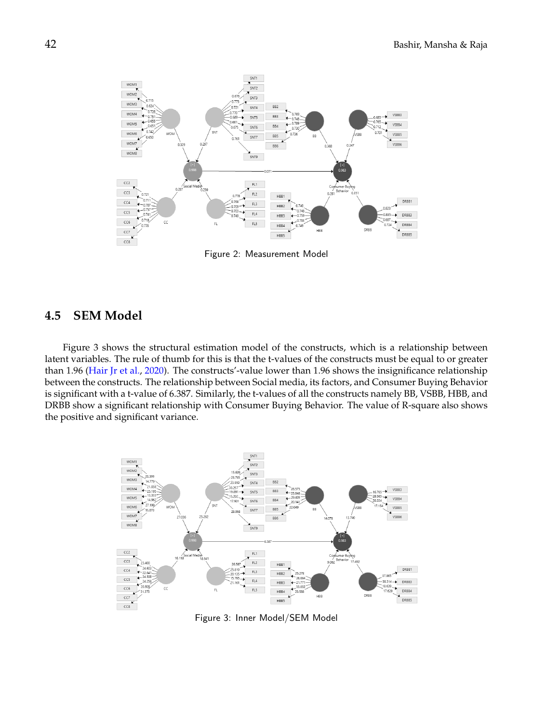

Figure 2: Measurement Model

## **4.5 SEM Model**

Figure 3 shows the structural estimation model of the constructs, which is a relationship between latent variables. The rule of thumb for this is that the t-values of the constructs must be equal to or greater than 1.96 [\(Hair Jr et al.,](#page-18-19) [2020\)](#page-18-19). The constructs'-value lower than 1.96 shows the insignificance relationship between the constructs. The relationship between Social media, its factors, and Consumer Buying Behavior is significant with a t-value of 6.387. Similarly, the t-values of all the constructs namely BB, VSBB, HBB, and DRBB show a significant relationship with Consumer Buying Behavior. The value of R-square also shows the positive and significant variance.



Figure 3: Inner Model/SEM Model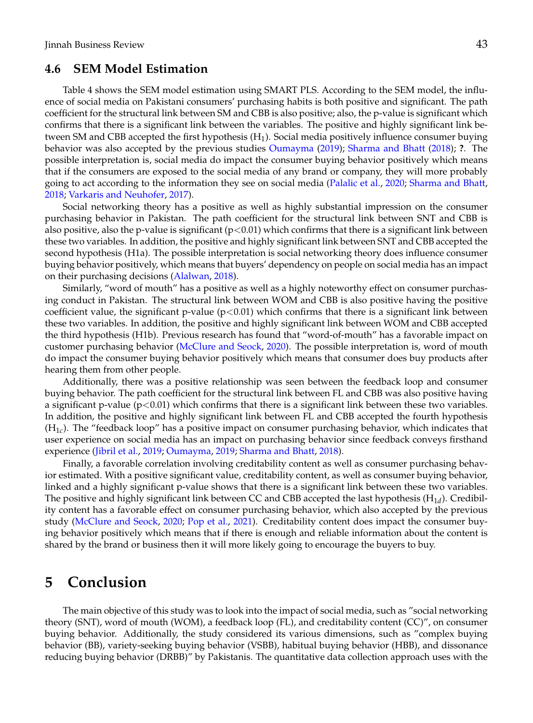## **4.6 SEM Model Estimation**

Table 4 shows the SEM model estimation using SMART PLS. According to the SEM model, the influence of social media on Pakistani consumers' purchasing habits is both positive and significant. The path coefficient for the structural link between SM and CBB is also positive; also, the p-value is significant which confirms that there is a significant link between the variables. The positive and highly significant link between SM and CBB accepted the first hypothesis (H<sub>1</sub>). Social media positively influence consumer buying behavior was also accepted by the previous studies [Oumayma](#page-18-2) [\(2019\)](#page-18-2); [Sharma and Bhatt](#page-19-13) [\(2018\)](#page-19-13); **?**. The possible interpretation is, social media do impact the consumer buying behavior positively which means that if the consumers are exposed to the social media of any brand or company, they will more probably going to act according to the information they see on social media [\(Palalic et al.,](#page-18-4) [2020;](#page-18-4) [Sharma and Bhatt,](#page-19-13) [2018;](#page-19-13) [Varkaris and Neuhofer,](#page-19-15) [2017\)](#page-19-15).

Social networking theory has a positive as well as highly substantial impression on the consumer purchasing behavior in Pakistan. The path coefficient for the structural link between SNT and CBB is also positive, also the p-value is significant  $(p<0.01)$  which confirms that there is a significant link between these two variables. In addition, the positive and highly significant link between SNT and CBB accepted the second hypothesis (H1a). The possible interpretation is social networking theory does influence consumer buying behavior positively, which means that buyers' dependency on people on social media has an impact on their purchasing decisions [\(Alalwan,](#page-17-7) [2018\)](#page-17-7).

Similarly, "word of mouth" has a positive as well as a highly noteworthy effect on consumer purchasing conduct in Pakistan. The structural link between WOM and CBB is also positive having the positive coefficient value, the significant p-value ( $p<0.01$ ) which confirms that there is a significant link between these two variables. In addition, the positive and highly significant link between WOM and CBB accepted the third hypothesis (H1b). Previous research has found that "word-of-mouth" has a favorable impact on customer purchasing behavior [\(McClure and Seock,](#page-18-1) [2020\)](#page-18-1). The possible interpretation is, word of mouth do impact the consumer buying behavior positively which means that consumer does buy products after hearing them from other people.

Additionally, there was a positive relationship was seen between the feedback loop and consumer buying behavior. The path coefficient for the structural link between FL and CBB was also positive having a significant p-value  $(p<0.01)$  which confirms that there is a significant link between these two variables. In addition, the positive and highly significant link between FL and CBB accepted the fourth hypothesis (H1*<sup>c</sup>* ). The "feedback loop" has a positive impact on consumer purchasing behavior, which indicates that user experience on social media has an impact on purchasing behavior since feedback conveys firsthand experience [\(Jibril et al.,](#page-18-0) [2019;](#page-18-0) [Oumayma,](#page-18-2) [2019;](#page-18-2) [Sharma and Bhatt,](#page-19-13) [2018\)](#page-19-13).

Finally, a favorable correlation involving creditability content as well as consumer purchasing behavior estimated. With a positive significant value, creditability content, as well as consumer buying behavior, linked and a highly significant p-value shows that there is a significant link between these two variables. The positive and highly significant link between CC and CBB accepted the last hypothesis (H1*<sup>d</sup>* ). Credibility content has a favorable effect on consumer purchasing behavior, which also accepted by the previous study [\(McClure and Seock,](#page-18-1) [2020;](#page-18-1) [Pop et al.,](#page-18-5) [2021\)](#page-18-5). Creditability content does impact the consumer buying behavior positively which means that if there is enough and reliable information about the content is shared by the brand or business then it will more likely going to encourage the buyers to buy.

# **5 Conclusion**

The main objective of this study was to look into the impact of social media, such as "social networking theory (SNT), word of mouth (WOM), a feedback loop (FL), and creditability content (CC)", on consumer buying behavior. Additionally, the study considered its various dimensions, such as "complex buying behavior (BB), variety-seeking buying behavior (VSBB), habitual buying behavior (HBB), and dissonance reducing buying behavior (DRBB)" by Pakistanis. The quantitative data collection approach uses with the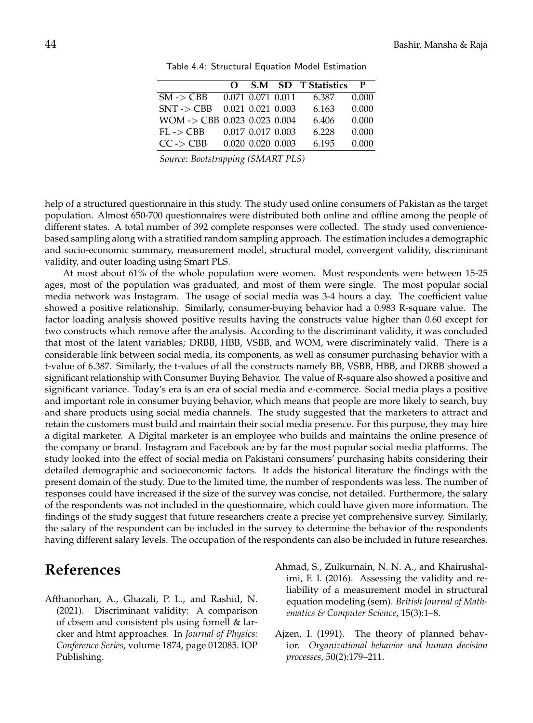|                                         | 0 |                         | <b>S.M SD T Statistics</b> | P     |
|-----------------------------------------|---|-------------------------|----------------------------|-------|
| $SM \rightarrow CBB$                    |   | 0.071 0.071 0.011       | 6.387                      | 0.000 |
| $SNT \rightarrow CBB$                   |   | $0.021$ $0.021$ $0.003$ | 6.163                      | 0.000 |
| $WOM \rightarrow CBB$ 0.023 0.023 0.004 |   |                         | 6.406                      | 0.000 |
| $FL - > CBB$                            |   | 0.017 0.017 0.003       | 6.228                      | 0.000 |
| $CC \rightarrow CBB$                    |   | 0.020 0.020 0.003       | 6.195                      | 0.000 |
|                                         |   |                         |                            |       |

Table 4.4: Structural Equation Model Estimation

*Source: Bootstrapping (SMART PLS)*

help of a structured questionnaire in this study. The study used online consumers of Pakistan as the target population. Almost 650-700 questionnaires were distributed both online and offline among the people of different states. A total number of 392 complete responses were collected. The study used conveniencebased sampling along with a stratified random sampling approach. The estimation includes a demographic and socio-economic summary, measurement model, structural model, convergent validity, discriminant validity, and outer loading using Smart PLS.

At most about 61% of the whole population were women. Most respondents were between 15-25 ages, most of the population was graduated, and most of them were single. The most popular social media network was Instagram. The usage of social media was 3-4 hours a day. The coefficient value showed a positive relationship. Similarly, consumer-buying behavior had a 0.983 R-square value. The factor loading analysis showed positive results having the constructs value higher than 0.60 except for two constructs which remove after the analysis. According to the discriminant validity, it was concluded that most of the latent variables; DRBB, HBB, VSBB, and WOM, were discriminately valid. There is a considerable link between social media, its components, as well as consumer purchasing behavior with a t-value of 6.387. Similarly, the t-values of all the constructs namely BB, VSBB, HBB, and DRBB showed a significant relationship with Consumer Buying Behavior. The value of R-square also showed a positive and significant variance. Today's era is an era of social media and e-commerce. Social media plays a positive and important role in consumer buying behavior, which means that people are more likely to search, buy and share products using social media channels. The study suggested that the marketers to attract and retain the customers must build and maintain their social media presence. For this purpose, they may hire a digital marketer. A Digital marketer is an employee who builds and maintains the online presence of the company or brand. Instagram and Facebook are by far the most popular social media platforms. The study looked into the effect of social media on Pakistani consumers' purchasing habits considering their detailed demographic and socioeconomic factors. It adds the historical literature the findings with the present domain of the study. Due to the limited time, the number of respondents was less. The number of responses could have increased if the size of the survey was concise, not detailed. Furthermore, the salary of the respondents was not included in the questionnaire, which could have given more information. The findings of the study suggest that future researchers create a precise yet comprehensive survey. Similarly, the salary of the respondent can be included in the survey to determine the behavior of the respondents having different salary levels. The occupation of the respondents can also be included in future researches.

# **References**

- <span id="page-16-0"></span>Afthanorhan, A., Ghazali, P. L., and Rashid, N. (2021). Discriminant validity: A comparison of cbsem and consistent pls using fornell & larcker and htmt approaches. In *Journal of Physics: Conference Series*, volume 1874, page 012085. IOP Publishing.
- <span id="page-16-2"></span>Ahmad, S., Zulkurnain, N. N. A., and Khairushalimi, F. I. (2016). Assessing the validity and reliability of a measurement model in structural equation modeling (sem). *British Journal of Mathematics & Computer Science*, 15(3):1–8.
- <span id="page-16-1"></span>Ajzen, I. (1991). The theory of planned behavior. *Organizational behavior and human decision processes*, 50(2):179–211.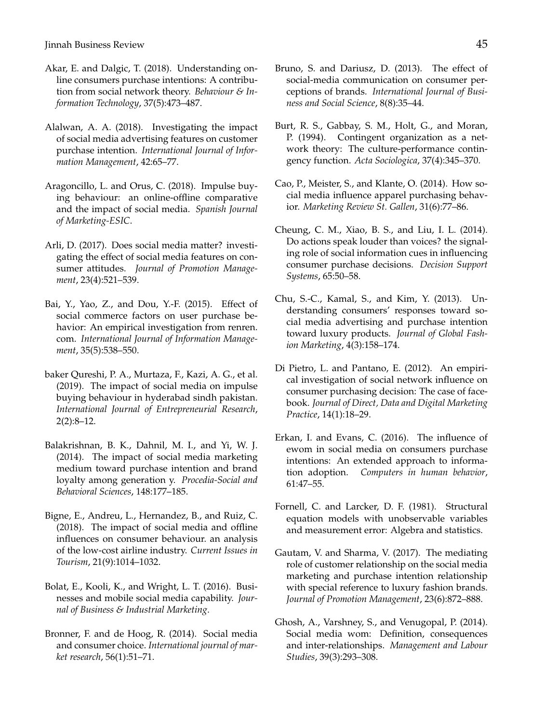Jinnah Business Review 45

- <span id="page-17-10"></span>Akar, E. and Dalgic, T. (2018). Understanding online consumers purchase intentions: A contribution from social network theory. *Behaviour & Information Technology*, 37(5):473–487.
- <span id="page-17-7"></span>Alalwan, A. A. (2018). Investigating the impact of social media advertising features on customer purchase intention. *International Journal of Information Management*, 42:65–77.
- <span id="page-17-13"></span>Aragoncillo, L. and Orus, C. (2018). Impulse buying behaviour: an online-offline comparative and the impact of social media. *Spanish Journal of Marketing-ESIC*.
- <span id="page-17-5"></span>Arli, D. (2017). Does social media matter? investigating the effect of social media features on consumer attitudes. *Journal of Promotion Management*, 23(4):521–539.
- <span id="page-17-3"></span>Bai, Y., Yao, Z., and Dou, Y.-F. (2015). Effect of social commerce factors on user purchase behavior: An empirical investigation from renren. com. *International Journal of Information Management*, 35(5):538–550.
- <span id="page-17-9"></span>baker Qureshi, P. A., Murtaza, F., Kazi, A. G., et al. (2019). The impact of social media on impulse buying behaviour in hyderabad sindh pakistan. *International Journal of Entrepreneurial Research*, 2(2):8–12.
- <span id="page-17-2"></span>Balakrishnan, B. K., Dahnil, M. I., and Yi, W. J. (2014). The impact of social media marketing medium toward purchase intention and brand loyalty among generation y. *Procedia-Social and Behavioral Sciences*, 148:177–185.
- <span id="page-17-6"></span>Bigne, E., Andreu, L., Hernandez, B., and Ruiz, C. (2018). The impact of social media and offline influences on consumer behaviour. an analysis of the low-cost airline industry. *Current Issues in Tourism*, 21(9):1014–1032.
- <span id="page-17-14"></span>Bolat, E., Kooli, K., and Wright, L. T. (2016). Businesses and mobile social media capability. *Journal of Business & Industrial Marketing*.
- <span id="page-17-8"></span>Bronner, F. and de Hoog, R. (2014). Social media and consumer choice. *International journal of market research*, 56(1):51–71.
- <span id="page-17-15"></span>Bruno, S. and Dariusz, D. (2013). The effect of social-media communication on consumer perceptions of brands. *International Journal of Business and Social Science*, 8(8):35–44.
- <span id="page-17-11"></span>Burt, R. S., Gabbay, S. M., Holt, G., and Moran, P. (1994). Contingent organization as a network theory: The culture-performance contingency function. *Acta Sociologica*, 37(4):345–370.
- <span id="page-17-16"></span>Cao, P., Meister, S., and Klante, O. (2014). How social media influence apparel purchasing behavior. *Marketing Review St. Gallen*, 31(6):77–86.
- <span id="page-17-17"></span>Cheung, C. M., Xiao, B. S., and Liu, I. L. (2014). Do actions speak louder than voices? the signaling role of social information cues in influencing consumer purchase decisions. *Decision Support Systems*, 65:50–58.
- <span id="page-17-1"></span>Chu, S.-C., Kamal, S., and Kim, Y. (2013). Understanding consumers' responses toward social media advertising and purchase intention toward luxury products. *Journal of Global Fashion Marketing*, 4(3):158–174.
- <span id="page-17-0"></span>Di Pietro, L. and Pantano, E. (2012). An empirical investigation of social network influence on consumer purchasing decision: The case of facebook. *Journal of Direct, Data and Digital Marketing Practice*, 14(1):18–29.
- <span id="page-17-4"></span>Erkan, I. and Evans, C. (2016). The influence of ewom in social media on consumers purchase intentions: An extended approach to information adoption. *Computers in human behavior*, 61:47–55.
- <span id="page-17-19"></span>Fornell, C. and Larcker, D. F. (1981). Structural equation models with unobservable variables and measurement error: Algebra and statistics.
- <span id="page-17-12"></span>Gautam, V. and Sharma, V. (2017). The mediating role of customer relationship on the social media marketing and purchase intention relationship with special reference to luxury fashion brands. *Journal of Promotion Management*, 23(6):872–888.
- <span id="page-17-18"></span>Ghosh, A., Varshney, S., and Venugopal, P. (2014). Social media wom: Definition, consequences and inter-relationships. *Management and Labour Studies*, 39(3):293–308.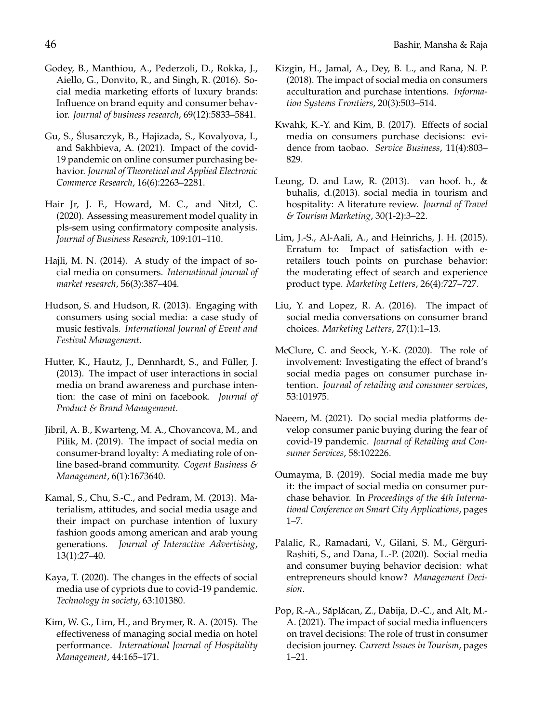- <span id="page-18-9"></span>Godey, B., Manthiou, A., Pederzoli, D., Rokka, J., Aiello, G., Donvito, R., and Singh, R. (2016). Social media marketing efforts of luxury brands: Influence on brand equity and consumer behavior. *Journal of business research*, 69(12):5833–5841.
- <span id="page-18-6"></span>Gu, S., Slusarczyk, B., Hajizada, S., Kovalyova, I., ´ and Sakhbieva, A. (2021). Impact of the covid-19 pandemic on online consumer purchasing behavior. *Journal of Theoretical and Applied Electronic Commerce Research*, 16(6):2263–2281.
- <span id="page-18-19"></span>Hair Jr, J. F., Howard, M. C., and Nitzl, C. (2020). Assessing measurement model quality in pls-sem using confirmatory composite analysis. *Journal of Business Research*, 109:101–110.
- <span id="page-18-10"></span>Hajli, M. N. (2014). A study of the impact of social media on consumers. *International journal of market research*, 56(3):387–404.
- <span id="page-18-8"></span>Hudson, S. and Hudson, R. (2013). Engaging with consumers using social media: a case study of music festivals. *International Journal of Event and Festival Management*.
- <span id="page-18-14"></span>Hutter, K., Hautz, J., Dennhardt, S., and Füller, J. (2013). The impact of user interactions in social media on brand awareness and purchase intention: the case of mini on facebook. *Journal of Product & Brand Management*.
- <span id="page-18-0"></span>Jibril, A. B., Kwarteng, M. A., Chovancova, M., and Pilik, M. (2019). The impact of social media on consumer-brand loyalty: A mediating role of online based-brand community. *Cogent Business & Management*, 6(1):1673640.
- <span id="page-18-12"></span>Kamal, S., Chu, S.-C., and Pedram, M. (2013). Materialism, attitudes, and social media usage and their impact on purchase intention of luxury fashion goods among american and arab young generations. *Journal of Interactive Advertising*, 13(1):27–40.
- <span id="page-18-7"></span>Kaya, T. (2020). The changes in the effects of social media use of cypriots due to covid-19 pandemic. *Technology in society*, 63:101380.
- <span id="page-18-16"></span>Kim, W. G., Lim, H., and Brymer, R. A. (2015). The effectiveness of managing social media on hotel performance. *International Journal of Hospitality Management*, 44:165–171.
- <span id="page-18-18"></span>Kizgin, H., Jamal, A., Dey, B. L., and Rana, N. P. (2018). The impact of social media on consumers acculturation and purchase intentions. *Information Systems Frontiers*, 20(3):503–514.
- <span id="page-18-11"></span>Kwahk, K.-Y. and Kim, B. (2017). Effects of social media on consumers purchase decisions: evidence from taobao. *Service Business*, 11(4):803– 829.
- <span id="page-18-15"></span>Leung, D. and Law, R. (2013). van hoof. h., & buhalis, d.(2013). social media in tourism and hospitality: A literature review. *Journal of Travel & Tourism Marketing*, 30(1-2):3–22.
- <span id="page-18-17"></span>Lim, J.-S., Al-Aali, A., and Heinrichs, J. H. (2015). Erratum to: Impact of satisfaction with eretailers touch points on purchase behavior: the moderating effect of search and experience product type. *Marketing Letters*, 26(4):727–727.
- <span id="page-18-13"></span>Liu, Y. and Lopez, R. A. (2016). The impact of social media conversations on consumer brand choices. *Marketing Letters*, 27(1):1–13.
- <span id="page-18-1"></span>McClure, C. and Seock, Y.-K. (2020). The role of involvement: Investigating the effect of brand's social media pages on consumer purchase intention. *Journal of retailing and consumer services*, 53:101975.
- <span id="page-18-3"></span>Naeem, M. (2021). Do social media platforms develop consumer panic buying during the fear of covid-19 pandemic. *Journal of Retailing and Consumer Services*, 58:102226.
- <span id="page-18-2"></span>Oumayma, B. (2019). Social media made me buy it: the impact of social media on consumer purchase behavior. In *Proceedings of the 4th International Conference on Smart City Applications*, pages 1–7.
- <span id="page-18-4"></span>Palalic, R., Ramadani, V., Gilani, S. M., Gërguri-Rashiti, S., and Dana, L.-P. (2020). Social media and consumer buying behavior decision: what entrepreneurs should know? *Management Decision*.
- <span id="page-18-5"></span>Pop, R.-A., Săplăcan, Z., Dabija, D.-C., and Alt, M.-A. (2021). The impact of social media influencers on travel decisions: The role of trust in consumer decision journey. *Current Issues in Tourism*, pages 1–21.